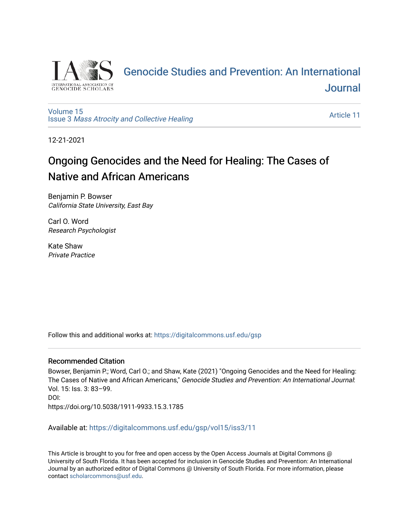

# [Genocide Studies and Prevention: An International](https://digitalcommons.usf.edu/gsp)  [Journal](https://digitalcommons.usf.edu/gsp)

[Volume 15](https://digitalcommons.usf.edu/gsp/vol15) Issue 3 [Mass Atrocity and Collective Healing](https://digitalcommons.usf.edu/gsp/vol15/iss3) 

[Article 11](https://digitalcommons.usf.edu/gsp/vol15/iss3/11) 

12-21-2021

# Ongoing Genocides and the Need for Healing: The Cases of Native and African Americans

Benjamin P. Bowser California State University, East Bay

Carl O. Word Research Psychologist

Kate Shaw Private Practice

Follow this and additional works at: [https://digitalcommons.usf.edu/gsp](https://digitalcommons.usf.edu/gsp?utm_source=digitalcommons.usf.edu%2Fgsp%2Fvol15%2Fiss3%2F11&utm_medium=PDF&utm_campaign=PDFCoverPages) 

### Recommended Citation

Bowser, Benjamin P.; Word, Carl O.; and Shaw, Kate (2021) "Ongoing Genocides and the Need for Healing: The Cases of Native and African Americans," Genocide Studies and Prevention: An International Journal: Vol. 15: Iss. 3: 83–99. DOI: https://doi.org/10.5038/1911-9933.15.3.1785

Available at: [https://digitalcommons.usf.edu/gsp/vol15/iss3/11](https://digitalcommons.usf.edu/gsp/vol15/iss3/11?utm_source=digitalcommons.usf.edu%2Fgsp%2Fvol15%2Fiss3%2F11&utm_medium=PDF&utm_campaign=PDFCoverPages)

This Article is brought to you for free and open access by the Open Access Journals at Digital Commons @ University of South Florida. It has been accepted for inclusion in Genocide Studies and Prevention: An International Journal by an authorized editor of Digital Commons @ University of South Florida. For more information, please contact [scholarcommons@usf.edu](mailto:scholarcommons@usf.edu).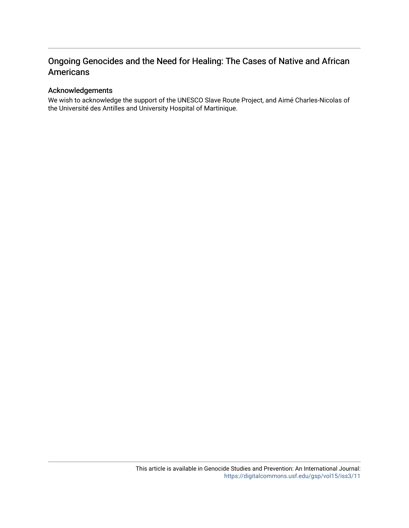## Ongoing Genocides and the Need for Healing: The Cases of Native and African Americans

## Acknowledgements

We wish to acknowledge the support of the UNESCO Slave Route Project, and Aimé Charles-Nicolas of the Université des Antilles and University Hospital of Martinique.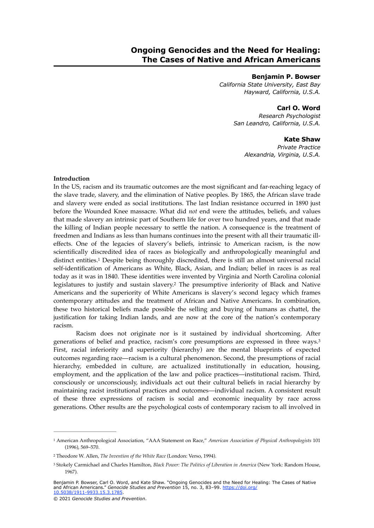#### **Benjamin P. Bowser**

*California State University, East Bay Hayward, California, U.S.A.*

## **Carl O. Word**

*Research Psychologist San Leandro, California, U.S.A.*

#### <span id="page-2-5"></span>**Kate Shaw**

*Private Practice Alexandria, Virginia, U.S.A.*

#### **Introduction**

<span id="page-2-3"></span>In the US, racism and its traumatic outcomes are the most significant and far-reaching legacy of the slave trade, slavery, and the elimination of Native peoples. By 1865, the African slave trade and slavery were ended as social institutions. The last Indian resistance occurred in 1890 just before the Wounded Knee massacre. What did *not* end were the attitudes, beliefs, and values that made slavery an intrinsic part of Southern life for over two hundred years, and that made the killing of Indian people necessary to settle the nation. A consequence is the treatment of freedmen and Indians as less than humans continues into the present with all their traumatic illeffects. One of the legacies of slavery's beliefs, intrinsic to American racism, is the now scientifically discredited idea of races as biologically and anthropologically meaningful and distinct entities[.](#page-2-0)<sup>[1](#page-2-0)</sup> Despite being thoroughly discredited, there is still an almost universal racial self-identification of Americans as White, Black, Asian, and Indian; belief in races is as real today as it was in 1840. These identities were invented by Virginia and North Carolina colonial legislatures to justify and sustain slavery.<sup>[2](#page-2-1)</sup> The presumptive inferiority of Black and Native Americans and the superiority of White Americans is slavery's second legacy which frames contemporary attitudes and the treatment of African and Native Americans. In combination, these two historical beliefs made possible the selling and buying of humans as chattel, the justification for taking Indian lands, and are now at the core of the nation's contemporary racism.

<span id="page-2-4"></span>Racism does not originate nor is it sustained by individual shortcoming. After generations of belief and practice, racism's core presumptions are expressed in three ways.[3](#page-2-2) First, racial inferiority and superiority (hierarchy) are the mental blueprints of expected outcomes regarding race—racism is a cultural phenomenon. Second, the presumptions of racial hierarchy, embedded in culture, are actualized institutionally in education, housing, employment, and the application of the law and police practices—institutional racism. Third, consciously or unconsciously, individuals act out their cultural beliefs in racial hierarchy by maintaining racist institutional practices and outcomes—individual racism. A consistent result of these three expressions of racism is social and economic inequality by race across generations. Other results are the psychological costs of contemporary racism to all involved in

<span id="page-2-0"></span><sup>&</sup>lt;sup>[1](#page-2-3)</sup> American Anthropological Association, "AAA Statement on Race," American Association of Physical Anthropologists 101 (1996), 569–570.

<span id="page-2-1"></span><sup>&</sup>lt;sup>[2](#page-2-4)</sup> Theodore W. Allen, *The Invention of the White Race* (London: Verso, 1994).

<span id="page-2-2"></span><sup>&</sup>lt;sup>[3](#page-2-5)</sup> Stokely Carmichael and Charles Hamilton, *Black Power: The Politics of Liberation in America* (New York: Random House, 1967).

Benjamin P. Bowser, Carl O. Word, and Kate Shaw. "Ongoing Genocides and the Need for Healing: The Cases of Native<br>and African Americans." *Genocide Studies and Prevention* 15, no. 3, 83–99. <u>[https://doi.org/](https://doi.org/10.5038/1911-9933.15.3.1785)</u> [10.5038/1911-9933.15.3.1785](https://doi.org/10.5038/1911-9933.15.3.1785).

<sup>© 2021</sup> *Genocide Studies and Prevention*.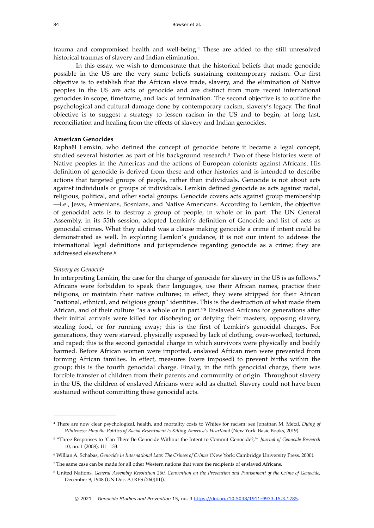<span id="page-3-5"></span>trauma and compromised health and well-being.<sup>[4](#page-3-0)</sup> These are added to the still unresolved historical traumas of slavery and Indian elimination.

In this essay, we wish to demonstrate that the historical beliefs that made genocide possible in the US are the very same beliefs sustaining contemporary racism. Our first objective is to establish that the African slave trade, slavery, and the elimination of Native peoples in the US are acts of genocide and are distinct from more recent international genocides in scope, timeframe, and lack of termination. The second objective is to outline the psychological and cultural damage done by contemporary racism, slavery's legacy. The final objective is to suggest a strategy to lessen racism in the US and to begin, at long last, reconciliation and healing from the effects of slavery and Indian genocides.

#### **American Genocides**

<span id="page-3-6"></span>Raphaël Lemkin, who defined the concept of genocide before it became a legal concept, studied several histories as part of his background research.<sup>[5](#page-3-1)</sup> Two of these histories were of Native peoples in the Americas and the actions of European colonists against Africans. His definition of genocide is derived from these and other histories and is intended to describe actions that targeted groups of people, rather than individuals. Genocide is not about acts against individuals or groups of individuals. Lemkin defined genocide as acts against racial, religious, political, and other social groups. Genocide covers acts against group membership —i.e., Jews, Armenians, Bosnians, and Native Americans. According to Lemkin, the objective of genocidal acts is to destroy a group of people, in whole or in part. The UN General Assembly, in its 55th session, adopted Lemkin's definition of Genocide and list of acts as genocidal crimes. What they added was a clause making genocide a crime if intent could be demonstrated as well. In exploring Lemkin's guidance, it is not our intent to address the international legal definitions and jurisprudence regarding genocide as a crime; they are addressed elsewhere[.6](#page-3-2)

#### <span id="page-3-8"></span><span id="page-3-7"></span>*Slavery as Genocide*

<span id="page-3-9"></span>In interpreting Lemkin, the case for the charge of genocide for slavery in the US is as follows.[7](#page-3-3) Africans were forbidden to speak their languages, use their African names, practice their religions, or maintain their native cultures; in effect, they were stripped for their African "national, ethnical, and religious group" identities. This is the destruction of what made them African,and of their culture "as a whole or in part."<sup>[8](#page-3-4)</sup> Enslaved Africans for generations after their initial arrivals were killed for disobeying or defying their masters, opposing slavery, stealing food, or for running away; this is the first of Lemkin's genocidal charges. For generations, they were starved, physically exposed by lack of clothing, over-worked, tortured, and raped; this is the second genocidal charge in which survivors were physically and bodily harmed. Before African women were imported, enslaved African men were prevented from forming African families. In effect, measures (were imposed) to prevent births within the group; this is the fourth genocidal charge. Finally, in the fifth genocidal charge, there was forcible transfer of children from their parents and community of origin. Throughout slavery in the US, the children of enslaved Africans were sold as chattel. Slavery could not have been sustained without committing these genocidal acts.

<span id="page-3-0"></span>There are now clear psychological, health, and mortality costs to Whites for racism; see Jonathan M. Metzl, *Dying of* [4](#page-3-5) *Whiteness: How the Politics of Racial Resentment Is Killing America's Heartland* (New York: Basic Books, 2019).

<span id="page-3-1"></span>[<sup>5</sup>](#page-3-6) "Three Responses to 'Can There Be Genocide Without the Intent to Commit Genocide?,'" *Journal of Genocide Research* 10, no. 1 (2008), 111–133.

<span id="page-3-2"></span>Willian A. Schabas, *Genocide in International Law: The Crimes of Crimes* (New York: Cambridge University Press, 2000). [6](#page-3-7)

<span id="page-3-3"></span>The same case can be made for all other Western nations that were the recipients of enslaved Africans. [7](#page-3-8)

<span id="page-3-4"></span>United Nations, *General Assembly Resolution 260, Convention on the Prevention and Punishment of the Crime of Genocide*, [8](#page-3-9) December 9, 1948 (UN Doc. A/RES/260(III)).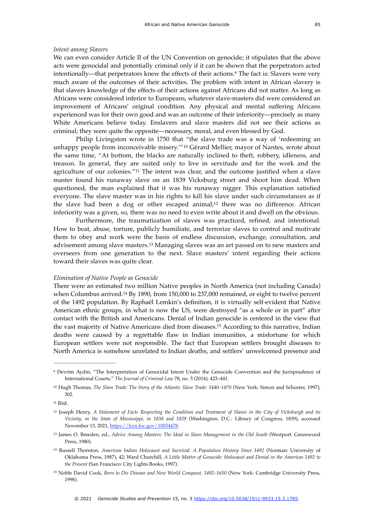#### *Intent among Slavers*

<span id="page-4-7"></span>We can even consider Article II of the UN Convention on genocide; it stipulates that the above acts were genocidal and potentially criminal only if it can be shown that the perpetrators acted intentionally—thatperpetrators knew the effects of their actions.<sup>[9](#page-4-0)</sup> The fact is: Slavers were very much aware of the outcomes of their activities. The problem with intent in African slavery is that slavers knowledge of the effects of their actions against Africans did not matter. As long as Africans were considered inferior to Europeans, whatever slave-masters did were considered an improvement of Africans' original condition. Any physical and mental suffering Africans experienced was for their own good and was an outcome of their inferiority—precisely as many White Americans believe today. Enslavers and slave masters did not see their actions as criminal; they were quite the opposite—necessary, moral, and even blessed by God.

<span id="page-4-9"></span><span id="page-4-8"></span>Philip Livingston wrote in 1750 that "the slave trade was a way of 'redeeming an unhappy people from inconceivable misery.<sup>''[10](#page-4-1)</sup> Gérard Mellier, mayor of Nantes, wrote about the same time, "At bottom, the blacks are naturally inclined to theft, robbery, idleness, and treason. In general, they are suited only to live in servitude and for the work and the agriculture of our colonies."<sup>[11](#page-4-2)</sup> The intent was clear, and the outcome justified when a slave master found his runaway slave on an 1839 Vicksburg street and shoot him dead. When questioned, the man explained that it was his runaway nigger. This explanation satisfied everyone. The slave master was in his rights to kill his slave under such circumstances as if the slave had been a dog or other escaped animal[;](#page-4-3)<sup>[12](#page-4-3)</sup> there was no difference. African inferiority was a given, so, there was no need to even write about it and dwell on the obvious.

<span id="page-4-11"></span><span id="page-4-10"></span>Furthermore, the traumatization of slaves was practiced, refined, and intentional. How to beat, abuse, torture, publicly humiliate, and terrorize slaves to control and motivate them to obey and work were the basis of endless discussion, exchange, consultation, and advisement among slave masters.<sup>[13](#page-4-4)</sup> Managing slaves was an art passed on to new masters and overseers from one generation to the next. Slave masters' intent regarding their actions toward their slaves was quite clear.

#### *Elimination of Native People as Genocide*

<span id="page-4-13"></span><span id="page-4-12"></span>There were an estimated two million Native peoples in North America (not including Canada) whenColumbus arrived.<sup>[14](#page-4-5)</sup> By 1890, from 150,000 to 237,000 remained, or eight to twelve percent of the 1492 population. By Raphaël Lemkin's definition, it is virtually self-evident that Native American ethnic groups, in what is now the US, were destroyed "as a whole or in part" after contact with the British and Americans. Denial of Indian genocide is centered in the view that the vast majority of Native Americans died from diseases[.](#page-4-6)<sup>[15](#page-4-6)</sup> According to this narrative, Indian deaths were caused by a regrettable flaw in Indian immunities, a misfortune for which European settlers were not responsible. The fact that European settlers brought diseases to North America is somehow unrelated to Indian deaths, and settlers' unwelcomed presence and

- <span id="page-4-5"></span><sup>[14](#page-4-12)</sup> Russell Thornton, *American Indian Holocaust and Survival: A Population History Since 1492* (Norman: University of Oklahoma Press, 1987), 42; Ward Churchill, *A Little Matter of Genocide: Holocaust and Denial in the Americas 1492 to the Present* (San Francisco: City Lights Books, 1997).
- <span id="page-4-6"></span><sup>[15](#page-4-13)</sup> Noble David Cook, *Born to Die Disease and New World Conquest*, 1492-1650 (New York: Cambridge University Press, 1998).

<span id="page-4-0"></span><sup>&</sup>lt;sup>9</sup>Devrim Aydin, "The Interpretation of Genocidal Intent Under the Genocide Convention and the Jurisprudence of International Courts," *The Journal of Criminal Law* 78, no. 5 (2014), 423–441.

<span id="page-4-1"></span><sup>&</sup>lt;sup>[10](#page-4-8)</sup> Hugh Thomas, *The Slave Trade: The Story of the Atlantic Slave Trade: 1440–1870* (New York: Simon and Schuster, 1997), 302.

<span id="page-4-2"></span> $11$  Ihid.

<span id="page-4-3"></span><sup>&</sup>lt;sup>[12](#page-4-10)</sup> Joseph Henry, *A Statement of Facts Respecting the Condition and Treatment of Slaves in the City of Vicksburgh and its Vicinity, in the State of Mississippi, in 1838 and 1839* (Washington, D.C.: Library of Congress, 1839), accessed November 13, 2021,<https://lccn.loc.gov/10034478>.

<span id="page-4-4"></span><sup>&</sup>lt;sup>[13](#page-4-11)</sup> James O. Breeden, ed., *Advice Among Masters: The Ideal in Slave Management in the Old South* (Westport: Greenwood Press, 1980).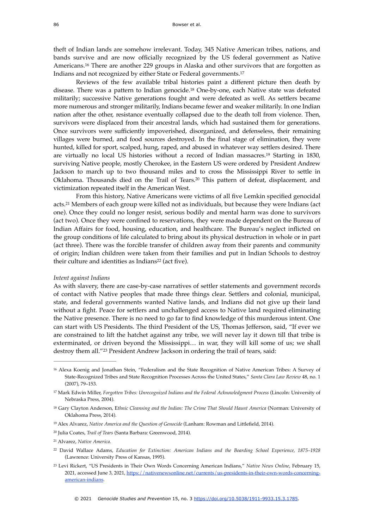<span id="page-5-8"></span>theft of Indian lands are somehow irrelevant. Today, 345 Native American tribes, nations, and bands survive and are now officially recognized by the US federal government as Native Americans.<sup>[16](#page-5-0)</sup> There are another 229 groups in Alaska and other survivors that are forgotten as Indians and not recognized by either State or Federal governments[.17](#page-5-1)

<span id="page-5-10"></span><span id="page-5-9"></span>Reviews of the few available tribal histories paint a different picture then death by disease. There was a pattern to Indian genocide.<sup>[18](#page-5-2)</sup> One-by-one, each Native state was defeated militarily; successive Native generations fought and were defeated as well. As settlers became more numerous and stronger militarily, Indians became fewer and weaker militarily. In one Indian nation after the other, resistance eventually collapsed due to the death toll from violence. Then, survivors were displaced from their ancestral lands, which had sustained them for generations. Once survivors were sufficiently impoverished, disorganized, and defenseless, their remaining villages were burned, and food sources destroyed. In the final stage of elimination, they were hunted, killed for sport, scalped, hung, raped, and abused in whatever way settlers desired. There are virtually no local US histories without a record of Indian massacres.<sup>[19](#page-5-3)</sup> Starting in 1830, surviving Native people, mostly Cherokee, in the Eastern US were ordered by President Andrew Jackson to march up to two thousand miles and to cross the Mississippi River to settle in Oklahoma[.](#page-5-4) Thousands died on the Trail of Tears.<sup>[20](#page-5-4)</sup> This pattern of defeat, displacement, and victimization repeated itself in the American West.

<span id="page-5-13"></span><span id="page-5-12"></span><span id="page-5-11"></span>From this history, Native Americans were victims of all five Lemkin specified genocidal acts[.](#page-5-5)<sup>[21](#page-5-5)</sup> Members of each group were killed not as individuals, but because they were Indians (act one). Once they could no longer resist, serious bodily and mental harm was done to survivors (act two). Once they were confined to reservations, they were made dependent on the Bureau of Indian Affairs for food, housing, education, and healthcare. The Bureau's neglect inflicted on the group conditions of life calculated to bring about its physical destruction in whole or in part (act three). There was the forcible transfer of children away from their parents and community of origin; Indian children were taken from their families and put in Indian Schools to destroy theirculture and identities as Indians<sup>22</sup> (act five).

#### <span id="page-5-14"></span>*Intent against Indians*

As with slavery, there are case-by-case narratives of settler statements and government records of contact with Native peoples that made three things clear. Settlers and colonial, municipal, state, and federal governments wanted Native lands, and Indians did not give up their land without a fight. Peace for settlers and unchallenged access to Native land required eliminating the Native presence. There is no need to go far to find knowledge of this murderous intent. One can start with US Presidents. The third President of the US, Thomas Jefferson, said, "If ever we are constrained to lift the hatchet against any tribe, we will never lay it down till that tribe is exterminated, or driven beyond the Mississippi… in war, they will kill some of us; we shall destroy them all."<sup>23</sup> President Andrew Jackson in ordering the trail of tears, said:

<span id="page-5-15"></span><span id="page-5-0"></span><sup>&</sup>lt;sup>[16](#page-5-8)</sup> Alexa Koenig and Jonathan Stein, "Federalism and the State Recognition of Native American Tribes: A Survey of State-Recognized Tribes and State Recognition Processes Across the United States," *Santa Clara Law Review* 48, no. 1 (2007), 79–153.

<span id="page-5-1"></span><sup>&</sup>lt;sup>[17](#page-5-9)</sup> Mark Edwin Miller, *Forgotten Tribes: Unrecognized Indians and the Federal Acknowledgment Process* (Lincoln: University of Nebraska Press, 2004).

<span id="page-5-2"></span><sup>&</sup>lt;sup>[18](#page-5-10)</sup> Gary Clayton Anderson, Ethnic Cleansing and the Indian: The Crime That Should Haunt America (Norman: University of Oklahoma Press, 2014).

<span id="page-5-3"></span><sup>&</sup>lt;sup>[19](#page-5-11)</sup> Alex Alvarez, *Native America and the Question of Genocide* (Lanham: Rowman and Littlefield, 2014).

<span id="page-5-4"></span><sup>&</sup>lt;sup>[20](#page-5-12)</sup> Julia Coates, *Trail of Tears* (Santa Barbara: Greenwood, 2014).

<span id="page-5-5"></span><sup>&</sup>lt;sup>[21](#page-5-13)</sup> Alvarez, Native America.

<span id="page-5-6"></span>David Wallace Adams, *Education for Extinction: American Indians and the Boarding School Experience, 1875–1928* [22](#page-5-14) (Lawrence: University Press of Kansas, 1995).

<span id="page-5-7"></span>Levi Rickert, "US Presidents in Their Own Words Concerning American Indians," *Native News Online*, February 15, [23](#page-5-15) 2021, accessed June 3, 2021, [https://nativenewsonline.net/currents/us-presidents-in-their-own-words-concerning](https://nativenewsonline.net/currents/us-presidents-in-their-own-words-concerning-american-indians)[american-indians.](https://nativenewsonline.net/currents/us-presidents-in-their-own-words-concerning-american-indians)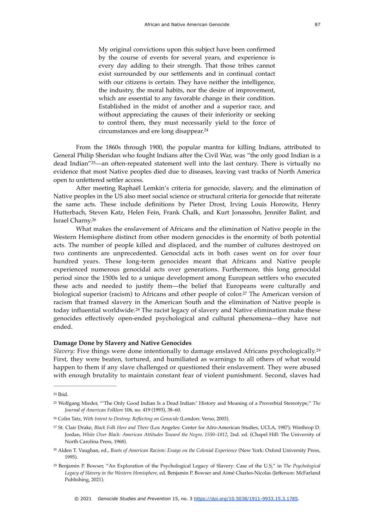<span id="page-6-6"></span>My original convictions upon this subject have been confirmed by the course of events for several years, and experience is every day adding to their strength. That those tribes cannot exist surrounded by our settlements and in continual contact with our citizens is certain. They have neither the intelligence, the industry, the moral habits, nor the desire of improvement, which are essential to any favorable change in their condition. Established in the midst of another and a superior race, and without appreciating the causes of their inferiority or seeking to control them, they must necessarily yield to the force of circumstances and ere long disappear[.24](#page-6-0)

<span id="page-6-7"></span>From the 1860s through 1900, the popular mantra for killing Indians, attributed to General Philip Sheridan who fought Indians after the Civil War, was "the only good Indian is a dead Indian"<sup>25</sup>[—](#page-6-1)an often-repeated statement well into the last century. There is virtually no evidence that most Native peoples died due to diseases, leaving vast tracks of North America open to unfettered settler access.

After meeting Raphaël Lemkin's criteria for genocide, slavery, and the elimination of Native peoples in the US also meet social science or structural criteria for genocide that reiterate the same acts. These include definitions by Pieter Drost, Irving Louis Horowitz, Henry Hutterbach, Steven Katz, Helen Fein, Frank Chalk, and Kurt Jonassohn, Jennifer Balint, and Israel Charny[.26](#page-6-2)

<span id="page-6-8"></span>What makes the enslavement of Africans and the elimination of Native people in the Western Hemisphere distinct from other modern genocides is the enormity of both potential acts. The number of people killed and displaced, and the number of cultures destroyed on two continents are unprecedented. Genocidal acts in both cases went on for over four hundred years. These long-term genocides meant that Africans and Native people experienced numerous genocidal acts over generations. Furthermore, this long genocidal period since the 1500s led to a unique development among European settlers who executed these acts and needed to justify them—the belief that Europeans were culturally and biological superior (racism) to Africans and other people of color[.](#page-6-3)<sup>[27](#page-6-3)</sup> The American version of racism that framed slavery in the American South and the elimination of Native people is todayinfluential worldwide.<sup>[28](#page-6-4)</sup> The racist legacy of slavery and Native elimination make these genocides effectively open-ended psychological and cultural phenomena—they have not ended.

#### <span id="page-6-11"></span><span id="page-6-10"></span><span id="page-6-9"></span>**Damage Done by Slavery and Native Genocides**

*Slavery:* Five things were done intentionally to damage enslaved Africans psychologically[.29](#page-6-5) First, they were beaten, tortured, and humiliated as warnings to all others of what would happen to them if any slave challenged or questioned their enslavement. They were abused with enough brutality to maintain constant fear of violent punishment. Second, slaves had

<span id="page-6-0"></span> $24$  Ibid.

<span id="page-6-1"></span>Wolfgang Mieder, "'The Only Good Indian Is a Dead Indian:' History and Meaning of a Proverbial Stereotype," *The* [25](#page-6-7) *Journal of American Folklore* 106, no. 419 (1993), 38–60.

<span id="page-6-2"></span><sup>&</sup>lt;sup>[26](#page-6-8)</sup> Colin Tatz, With Intent to Destroy: Reflecting on Genocide (London: Verso, 2003).

<span id="page-6-3"></span>St. Clair Drake, *Black Folk Here and There* (Los Angeles: Center for Afro-American Studies, UCLA, 1987); Winthrop D. [27](#page-6-9) Jordan, *White Over Black: American Attitudes Toward the Negro, 1550–1812*, 2nd. ed. (Chapel Hill: The University of North Carolina Press, 1968).

<span id="page-6-4"></span><sup>&</sup>lt;sup>[28](#page-6-10)</sup> Alden T. Vaughan, ed., *Roots of American Racism: Essays on the Colonial Experience* (New York: Oxford University Press, 1995).

<span id="page-6-5"></span>Benjamin P. Bowser, "An Exploration of the Psychological Legacy of Slavery: Case of the U.S," in *The Psychological* [29](#page-6-11) *Legacy of Slavery in the Western Hemisphere*, ed. Benjamin P. Bowser and Aimé Charles-Nicolas (Jefferson: McFarland Publishing, 2021).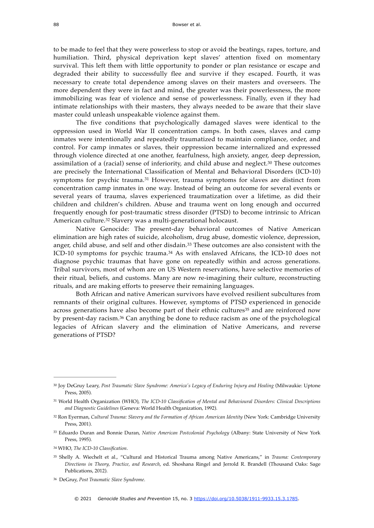to be made to feel that they were powerless to stop or avoid the beatings, rapes, torture, and humiliation. Third, physical deprivation kept slaves' attention fixed on momentary survival. This left them with little opportunity to ponder or plan resistance or escape and degraded their ability to successfully flee and survive if they escaped. Fourth, it was necessary to create total dependence among slaves on their masters and overseers. The more dependent they were in fact and mind, the greater was their powerlessness, the more immobilizing was fear of violence and sense of powerlessness. Finally, even if they had intimate relationships with their masters, they always needed to be aware that their slave master could unleash unspeakable violence against them.

<span id="page-7-7"></span>The five conditions that psychologically damaged slaves were identical to the oppression used in World War II concentration camps. In both cases, slaves and camp inmates were intentionally and repeatedly traumatized to maintain compliance, order, and control. For camp inmates or slaves, their oppression became internalized and expressed through violence directed at one another, fearfulness, high anxiety, anger, deep depression, assimilation of a (racial) sense of inferiority, and child abuse and neglect[.](#page-7-0)<sup>[30](#page-7-0)</sup> These outcomes are precisely the International Classification of Mental and Behavioral Disorders (ICD-10) symptoms for psychic trauma[.](#page-7-1)<sup>[31](#page-7-1)</sup> However, trauma symptoms for slaves are distinct from concentration camp inmates in one way. Instead of being an outcome for several events or several years of trauma, slaves experienced traumatization over a lifetime, as did their children and children's children. Abuse and trauma went on long enough and occurred frequently enough for post-traumatic stress disorder (PTSD) to become intrinsic to African American culture.<sup>32</sup> Slavery was a multi-generational holocaust.

<span id="page-7-11"></span><span id="page-7-10"></span><span id="page-7-9"></span><span id="page-7-8"></span>Native Genocide: The present-day behavioral outcomes of Native American elimination are high rates of suicide, alcoholism, drug abuse, domestic violence, depression, anger, child abuse, and self and other disdain[.](#page-7-3)<sup>[33](#page-7-3)</sup> These outcomes are also consistent with the ICD-10symptoms for psychic trauma. $34$  As with enslaved Africans, the ICD-10 does not diagnose psychic traumas that have gone on repeatedly within and across generations. Tribal survivors, most of whom are on US Western reservations, have selective memories of their ritual, beliefs, and customs. Many are now re-imagining their culture, reconstructing rituals, and are making efforts to preserve their remaining languages.

<span id="page-7-13"></span><span id="page-7-12"></span>Both African and native American survivors have evolved resilient subcultures from remnants of their original cultures. However, symptoms of PTSD experienced in genocide across generations have also become part of their ethnic cultures<sup>[35](#page-7-5)</sup> and are reinforced now by present-day racism.<sup>[36](#page-7-6)</sup> Can anything be done to reduce racism as one of the psychological legacies of African slavery and the elimination of Native Americans, and reverse generations of PTSD?

<span id="page-7-4"></span>WHO, *The ICD-10 Classification*. [34](#page-7-11)

<span id="page-7-6"></span>DeGruy, *Post Traumatic Slave Syndrome*. [36](#page-7-13)

<span id="page-7-0"></span><sup>&</sup>lt;sup>[30](#page-7-7)</sup> Joy DeGruy Leary, Post Traumatic Slave Syndrome: America's Legacy of Enduring Injury and Healing (Milwaukie: Uptone Press, 2005).

<span id="page-7-1"></span>World Health Organization (WHO), *The ICD-10 Classification of Mental and Behavioural Disorders: Clinical Descriptions* [31](#page-7-8) *and Diagnostic Guidelines* (Geneva: World Health Organization, 1992).

<span id="page-7-2"></span>[<sup>32</sup>](#page-7-9) Ron Eyerman, Cultural Trauma: Slavery and the Formation of African American Identity (New York: Cambridge University Press, 2001).

<span id="page-7-3"></span><sup>&</sup>lt;sup>[33](#page-7-10)</sup> Eduardo Duran and Bonnie Duran, Native American Postcolonial Psychology (Albany: State University of New York Press, 1995).

<span id="page-7-5"></span>Shelly A. Wiechelt et al., "Cultural and Historical Trauma among Native Americans," in *Trauma: Contemporary* [35](#page-7-12) *Directions in Theory, Practice, and Research*, ed. Shoshana Ringel and Jerrold R. Brandell (Thousand Oaks: Sage Publications, 2012).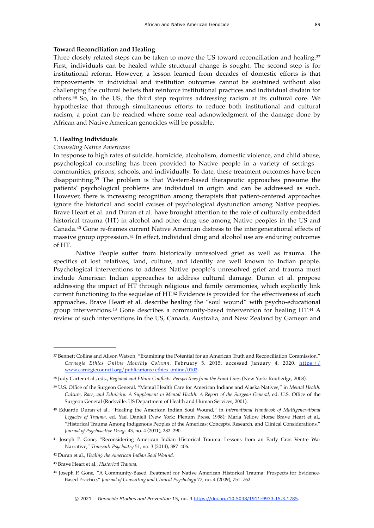#### <span id="page-8-8"></span>**Toward Reconciliation and Healing**

<span id="page-8-9"></span>Three closely related steps can be taken to move the US toward reconciliation and healing.[37](#page-8-0) First, individuals can be healed while structural change is sought. The second step is for institutional reform. However, a lesson learned from decades of domestic efforts is that improvements in individual and institution outcomes cannot be sustained without also challenging the cultural beliefs that reinforce institutional practices and individual disdain for others. $38$ So, in the US, the third step requires addressing racism at its cultural core. We hypothesize that through simultaneous efforts to reduce both institutional and cultural racism, a point can be reached where some real acknowledgment of the damage done by African and Native American genocides will be possible.

#### **1. Healing Individuals**

#### *Counseling Native Americans*

<span id="page-8-10"></span>In response to high rates of suicide, homicide, alcoholism, domestic violence, and child abuse, psychological counseling has been provided to Native people in a variety of settings communities, prisons, schools, and individually. To date, these treatment outcomes have been disappointing.<sup>39</sup>The problem is that Western-based therapeutic approaches presume the patients' psychological problems are individual in origin and can be addressed as such. However, there is increasing recognition among therapists that patient-centered approaches ignore the historical and social causes of psychological dysfunction among Native peoples. Brave Heart et al. and Duran et al. have brought attention to the role of culturally embedded historical trauma (HT) in alcohol and other drug use among Native peoples in the US and Canada[.](#page-8-3) $40$  Gone re-frames current Native American distress to the intergenerational effects of massive group oppression[.](#page-8-4)<sup>[41](#page-8-4)</sup> In effect, individual drug and alcohol use are enduring outcomes of HT.

<span id="page-8-13"></span><span id="page-8-12"></span><span id="page-8-11"></span>Native People suffer from historically unresolved grief as well as trauma. The specifics of lost relatives, land, culture, and identity are well known to Indian people. Psychological interventions to address Native people's unresolved grief and trauma must include American Indian approaches to address cultural damage. Duran et al. propose addressing the impact of HT through religious and family ceremonies, which explicitly link current functioning to the sequelae of  $HT<sup>42</sup>$  $HT<sup>42</sup>$  $HT<sup>42</sup>$  Evidence is provided for the effectiveness of such approaches. Brave Heart et al. describe healing the "soul wound" with psycho-educational group interventions[.](#page-8-7) $43$  Gone describes a community-based intervention for healing HT. $44$  A review of such interventions in the US, Canada, Australia, and New Zealand by Gameon and

<span id="page-8-15"></span><span id="page-8-14"></span><span id="page-8-0"></span><sup>&</sup>lt;sup>[37](#page-8-8)</sup> Bennett Collins and Alison Watson, "Examining the Potential for an American Truth and Reconciliation Commission," *Carnegie Ethics Online Monthly Column,* February 5, 2015, accessed January 4, 2020, [https://](https://www.carnegiecouncil.org/publications/ethics_online/0102) [www.carnegiecouncil.org/publications/ethics\\_online/0102](https://www.carnegiecouncil.org/publications/ethics_online/0102).

<span id="page-8-1"></span>Judy Carter et al., eds., *Regional and Ethnic Conflicts: Perspectives from the Front Lines* (New York: Routledge, 2008). [38](#page-8-9)

<span id="page-8-2"></span>U.S. Office of the Surgeon General, "Mental Health Care for American Indians and Alaska Natives," in *Mental Health:* [39](#page-8-10) *Culture, Race, and Ethnicity: A Supplement to Mental Health: A Report of the Surgeon General*, ed. U.S. Office of the Surgeon General (Rockville: US Department of Health and Human Services, 2001).

<span id="page-8-3"></span>Eduardo Duran et al., "Healing the American Indian Soul Wound," in *International Handbook of Multigenerational* [40](#page-8-11) *Legacies of Trauma*, ed. Yael Danieli (New York: Plenum Press, 1998); Maria Yellow Horse Brave Heart et al., "Historical Trauma Among Indigenous Peoples of the Americas: Concepts, Research, and Clinical Considerations," *Journal of Psychoactive Drugs* 43, no. 4 (2011), 282–290.

<span id="page-8-4"></span><sup>&</sup>lt;sup>[41](#page-8-12)</sup> Joseph P. Gone, "Reconsidering American Indian Historical Trauma: Lessons from an Early Gros Ventre War Narrative," *Transcult Psychiatry* 51, no. 3 (2014), 387–406.

<span id="page-8-5"></span><sup>&</sup>lt;sup>[42](#page-8-13)</sup> Duran et al., *Healing the American Indian Soul Wound*.

<span id="page-8-6"></span>Brave Heart et al., *Historical Trauma*. [43](#page-8-14)

<span id="page-8-7"></span><sup>&</sup>lt;sup>[44](#page-8-15)</sup> Joseph P. Gone, "A Community-Based Treatment for Native American Historical Trauma: Prospects for Evidence-Based Practice," *Journal of Consulting and Clinical Psychology* 77, no. 4 (2009), 751–762.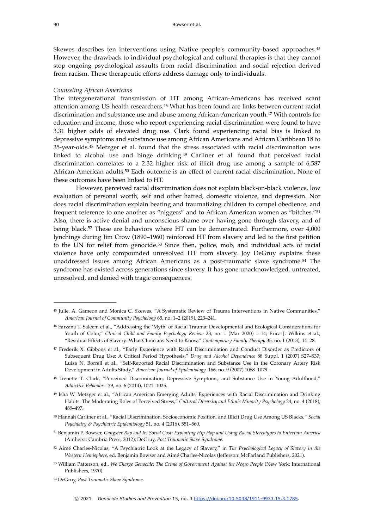<span id="page-9-10"></span>Skewes describes ten interventions using Native people's community-based approaches.[45](#page-9-0) However, the drawback to individual psychological and cultural therapies is that they cannot stop ongoing psychological assaults from racial discrimination and social rejection derived from racism. These therapeutic efforts address damage only to individuals.

#### *Counseling African Americans*

<span id="page-9-12"></span><span id="page-9-11"></span>The intergenerational transmission of HT among African-Americans has received scant attention among US health researchers[.](#page-9-1)<sup>[46](#page-9-1)</sup> What has been found are links between current racial discrimination and substance use and abuse among African-American youth[.](#page-9-2)<sup>[47](#page-9-2)</sup> With controls for education and income, those who report experiencing racial discrimination were found to have 3.31 higher odds of elevated drug use. Clark found experiencing racial bias is linked to depressive symptoms and substance use among African Americans and African Caribbean 18 to 35-year-olds.<sup>48</sup> Metzger et al[.](#page-9-3) found that the stress associated with racial discrimination was linked to alcohol use and binge drinking.<sup>49</sup> Carliner et al[.](#page-9-4) found that perceived racial discrimination correlates to a 2.32 higher risk of illicit drug use among a sample of 6,587 African-American adults.<sup>[50](#page-9-5)</sup> Each outcome is an effect of current racial discrimination. None of these outcomes have been linked to HT.

<span id="page-9-18"></span><span id="page-9-17"></span><span id="page-9-16"></span><span id="page-9-15"></span><span id="page-9-14"></span><span id="page-9-13"></span>However, perceived racial discrimination does not explain black-on-black violence, low evaluation of personal worth, self and other hatred, domestic violence, and depression. Nor does racial discrimination explain beating and traumatizing children to compel obedience, and frequent reference to one another as "niggers" and to African American women as "bitches."[51](#page-9-6) Also, there is active denial and unconscious shame over having gone through slavery, and of beingblack.<sup>[52](#page-9-7)</sup> These are behaviors where HT can be demonstrated. Furthermore, over 4,000 lynchings during Jim Crow (1890–1960) reinforced HT from slavery and led to the first petition to the UN for relief from genocide.<sup>[53](#page-9-8)</sup> Since then, police, mob, and individual acts of racial violence have only compounded unresolved HT from slavery. Joy DeGruy explains these unaddressedissues among African Americans as a post-traumatic slave syndrome.<sup>[54](#page-9-9)</sup> The syndrome has existed across generations since slavery. It has gone unacknowledged, untreated, unresolved, and denied with tragic consequences.

<span id="page-9-19"></span><span id="page-9-0"></span>[<sup>45</sup>](#page-9-10) Julie. A. Gameon and Monica C. Skewes, "A Systematic Review of Trauma Interventions in Native Communities," *American Journal of Community Psychology* 65, no. 1–2 (2019), 223–241.

<span id="page-9-1"></span>Farzana T. Saleem et al., "Addressing the 'Myth' of Racial Trauma: Developmental and Ecological Considerations for [46](#page-9-11) Youth of Color," *Clinical Child and Family Psychology Review* 23, no. 1 (Mar 2020) 1–14; Erica J. Wilkins et al., "Residual Effects of Slavery: What Clinicians Need to Know," *Contemporary Family Therapy* 35, no. 1 (2013), 14–28.

<span id="page-9-2"></span>Frederik X. Gibbons et al., "Early Experience with Racial Discrimination and Conduct Disorder as Predictors of [47](#page-9-12) Subsequent Drug Use: A Critical Period Hypothesis," *Drug and Alcohol Dependence* 88 Suppl. 1 (2007) S27–S37; Luisa N. Borrell et al., "Self-Reported Racial Discrimination and Substance Use in the Coronary Artery Risk Development in Adults Study," *American Journal of Epidemiology.* 166, no. 9 (2007) 1068–1079.

<span id="page-9-3"></span>[<sup>48</sup>](#page-9-13) Trenette T. Clark, "Perceived Discrimination, Depressive Symptoms, and Substance Use in Young Adulthood," *Addictive Behaviors.* 39, no. 6 (2014), 1021–1025.

<span id="page-9-4"></span><sup>&</sup>lt;sup>[49](#page-9-14)</sup> Isha W. Metzger et al., "African American Emerging Adults' Experiences with Racial Discrimination and Drinking Habits: The Moderating Roles of Perceived Stress," *Cultural Diversity and Ethnic Minority Psychology* 24, no. 4 (2018), 489–497.

<span id="page-9-5"></span>Hannah Carliner et al., "Racial Discrimination, Socioeconomic Position, and Illicit Drug Use Among US Blacks," *Social* [50](#page-9-15) *Psychiatry & Psychiatric Epidemiology* 51, no. 4 (2016), 551–560.

<span id="page-9-6"></span>Benjamin P. Bowser, *Gangster Rap and Its Social Cost: Exploiting Hip Hop and Using Racial Stereotypes to Entertain America* [51](#page-9-16) (Amherst: Cambria Press, 2012); DeGruy, *Post Traumatic Slave Syndrome*.

<span id="page-9-7"></span><sup>&</sup>lt;sup>[52](#page-9-17)</sup> Aimé Charles-Nicolas, "A Psychiatric Look at the Legacy of Slavery," in *The Psychological Legacy of Slavery in the Western Hemisphere*, ed. Benjamin Bowser and Aimé Charles-Nicolas (Jefferson: McFarland Publishers, 2021).

<span id="page-9-8"></span>[<sup>53</sup>](#page-9-18) William Patterson, ed., *We Charge Genocide: The Crime of Government Against the Negro People* (New York: International Publishers, 1970).

<span id="page-9-9"></span><sup>&</sup>lt;sup>[54](#page-9-19)</sup> DeGruy, Post Traumatic Slave Syndrome.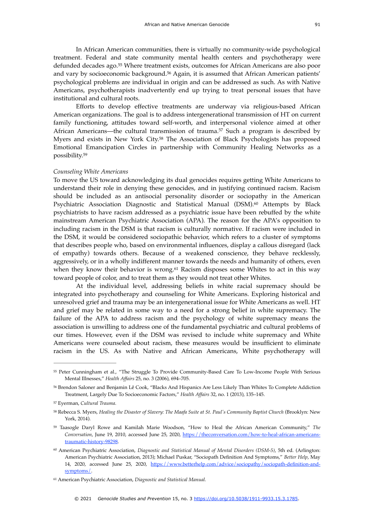<span id="page-10-8"></span><span id="page-10-7"></span>In African American communities, there is virtually no community-wide psychological treatment. Federal and state community mental health centers and psychotherapy were defundeddecades ago.<sup>[55](#page-10-0)</sup> Where treatment exists, outcomes for African Americans are also poor andvary by socioeconomic background.<sup>[56](#page-10-1)</sup> Again, it is assumed that African American patients' psychological problems are individual in origin and can be addressed as such. As with Native Americans, psychotherapists inadvertently end up trying to treat personal issues that have institutional and cultural roots.

<span id="page-10-10"></span><span id="page-10-9"></span>Efforts to develop effective treatments are underway via religious-based African American organizations. The goal is to address intergenerational transmission of HT on current family functioning, attitudes toward self-worth, and interpersonal violence aimed at other African Americans—the cultural transmission of trauma.<sup>[57](#page-10-2)</sup> Such a program is described by Myers and exists in New York City[.](#page-10-3)<sup>[58](#page-10-3)</sup> The Association of Black Psychologists has proposed Emotional Emancipation Circles in partnership with Community Healing Networks as a possibility[.59](#page-10-4)

#### <span id="page-10-11"></span>*Counseling White Americans*

<span id="page-10-12"></span>To move the US toward acknowledging its dual genocides requires getting White Americans to understand their role in denying these genocides, and in justifying continued racism. Racism should be included as an antisocial personality disorder or sociopathy in the American Psychiatric Association Diagnostic and Statistical Manual (DSM)[.](#page-10-5)<sup>[60](#page-10-5)</sup> Attempts by Black psychiatrists to have racism addressed as a psychiatric issue have been rebuffed by the white mainstream American Psychiatric Association (APA). The reason for the APA's opposition to including racism in the DSM is that racism is culturally normative. If racism were included in the DSM, it would be considered sociopathic behavior, which refers to a cluster of symptoms that describes people who, based on environmental influences, display a callous disregard (lack of empathy) towards others. Because of a weakened conscience, they behave recklessly, aggressively, or in a wholly indifferent manner towards the needs and humanity of others, even when they know their behavior is wrong.<sup>[61](#page-10-6)</sup> Racism disposes some Whites to act in this way toward people of color, and to treat them as they would not treat other Whites.

<span id="page-10-13"></span>At the individual level, addressing beliefs in white racial supremacy should be integrated into psychotherapy and counseling for White Americans. Exploring historical and unresolved grief and trauma may be an intergenerational issue for White Americans as well. HT and grief may be related in some way to a need for a strong belief in white supremacy. The failure of the APA to address racism and the psychology of white supremacy means the association is unwilling to address one of the fundamental psychiatric and cultural problems of our times. However, even if the DSM was revised to include white supremacy and White Americans were counseled about racism, these measures would be insufficient to eliminate racism in the US. As with Native and African Americans, White psychotherapy will

<span id="page-10-0"></span>[<sup>55</sup>](#page-10-7) Peter Cunningham et al., "The Struggle To Provide Community-Based Care To Low-Income People With Serious Mental Illnesses," *Health Affairs* 25, no. 3 (2006), 694–705.

<span id="page-10-1"></span><sup>&</sup>lt;sup>[56](#page-10-8)</sup> Brendon Saloner and Benjamin Lê Cook, "Blacks And Hispanics Are Less Likely Than Whites To Complete Addiction Treatment, Largely Due To Socioeconomic Factors," *Health Affairs* 32, no. 1 (2013), 135–145.

<span id="page-10-2"></span>Eyerman, *Cultural Trauma*. [57](#page-10-9)

<span id="page-10-3"></span>[<sup>58</sup>](#page-10-10) Rebecca S. Myers, *Healing the Disaster of Slavery: The Maafa Suite at St. Paul's Community Baptist Church* (Brooklyn: New York, 2014).

<span id="page-10-4"></span>Taasogle Daryl Rowe and Kamilah Marie Woodson, "How to Heal the African American Community," *The* [59](#page-10-11) *Conversation*, June 19, 2010, accessed June 25, 2020, [https://theconversation.com/how-to-heal-african-americans](https://theconversation.com/how-to-heal-african-americans-traumatic-history-98298)[traumatic-history-98298.](https://theconversation.com/how-to-heal-african-americans-traumatic-history-98298)

<span id="page-10-5"></span><sup>&</sup>lt;sup>[60](#page-10-12)</sup> American Psychiatric Association, *Diagnostic and Statistical Manual of Mental Disorders (DSM-5)*, 5th ed. (Arlington: American Psychiatric Association, 2013); Michael Puskar, "Sociopath Definition And Symptoms," *Better Help*, May 14, 2020, accessed June 25, 2020, [https://www.betterhelp.com/advice/sociopathy/sociopath-definition-and](https://www.betterhelp.com/advice/sociopathy/sociopath-definition-and-symptoms/)[symptoms/](https://www.betterhelp.com/advice/sociopathy/sociopath-definition-and-symptoms/).

<span id="page-10-6"></span>American Psychiatric Association, *Diagnostic and Statistical Manual.* [61](#page-10-13)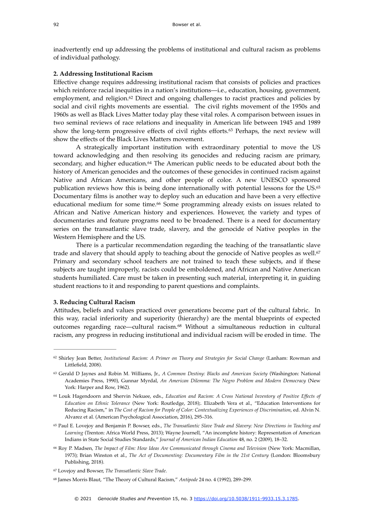inadvertently end up addressing the problems of institutional and cultural racism as problems of individual pathology.

#### **2. Addressing Institutional Racism**

<span id="page-11-7"></span>Effective change requires addressing institutional racism that consists of policies and practices which reinforce racial inequities in a nation's institutions—i.e., education, housing, government, employment, and religion. $62$  Direct and ongoing challenges to racist practices and policies by social and civil rights movements are essential. The civil rights movement of the 1950s and 1960s as well as Black Lives Matter today play these vital roles. A comparison between issues in two seminal reviews of race relations and inequality in American life between 1945 and 1989 showthe long-term progressive effects of civil rights efforts.<sup>[63](#page-11-1)</sup> Perhaps, the next review will show the effects of the Black Lives Matters movement.

<span id="page-11-10"></span><span id="page-11-9"></span><span id="page-11-8"></span>A strategically important institution with extraordinary potential to move the US toward acknowledging and then resolving its genocides and reducing racism are primary, secondary,and higher education. $64$  The American public needs to be educated about both the history of American genocides and the outcomes of these genocides in continued racism against Native and African Americans, and other people of color. A new UNESCO sponsored publication reviews how this is being done internationally with potential lessons for the US.[65](#page-11-3) Documentary films is another way to deploy such an education and have been a very effective educational medium for some time.<sup>[66](#page-11-4)</sup> Some programming already exists on issues related to African and Native American history and experiences. However, the variety and types of documentaries and feature programs need to be broadened. There is a need for documentary series on the transatlantic slave trade, slavery, and the genocide of Native peoples in the Western Hemisphere and the US.

<span id="page-11-12"></span><span id="page-11-11"></span>There is a particular recommendation regarding the teaching of the transatlantic slave trade and slavery that should apply to teaching about the genocide of Native peoples as well.<sup>[67](#page-11-5)</sup> Primary and secondary school teachers are not trained to teach these subjects, and if these subjects are taught improperly, racists could be emboldened, and African and Native American students humiliated. Care must be taken in presenting such material, interpreting it, in guiding student reactions to it and responding to parent questions and complaints.

#### **3. Reducing Cultural Racism**

<span id="page-11-13"></span>Attitudes, beliefs and values practiced over generations become part of the cultural fabric. In this way, racial inferiority and superiority (hierarchy) are the mental blueprints of expected outcomes regarding race—cultural racism.<sup>[68](#page-11-6)</sup> Without a simultaneous reduction in cultural racism, any progress in reducing institutional and individual racism will be eroded in time. The

<span id="page-11-0"></span><sup>&</sup>lt;sup>[62](#page-11-7)</sup> Shirley Jean Better, *Institutional Racism: A Primer on Theory and Strategies for Social Change* (Lanham: Rowman and Littlefield, 2008).

<span id="page-11-1"></span><sup>&</sup>lt;sup>[63](#page-11-8)</sup> Gerald D Jaynes and Robin M. Williams, Jr., *A Common Destiny: Blacks and American Society* (Washington: National Academies Press, 1990), Gunnar Myrdal, *An American Dilemma: The Negro Problem and Modern Democracy* (New York: Harper and Row, 1962).

<span id="page-11-2"></span><sup>&</sup>lt;sup>[64](#page-11-9)</sup> Louk Hagendoorn and Shervin Nekuee, eds., *Education and Racism: A Cross National Inventory of Positive Effects of Education on Ethnic Tolerance* (New York: Routledge, 2018);. Elizabeth Vera et al., "Education Interventions for Reducing Racism," in *The Cost of Racism for People of Color: Contextualizing Experiences of Discrimination*, ed. Alvin N. Alvarez et al. (American Psychological Association, 2016), 295–316.

<span id="page-11-3"></span>Paul E. Lovejoy and Benjamin P. Bowser, eds., *The Transatlantic Slave Trade and Slavery: New Directions in Teaching and* [65](#page-11-10) *Learning* (Trenton: Africa World Press, 2013); Wayne Journell, "An incomplete history: Representation of American Indians in State Social Studies Standards," *Journal of American Indian Education* 48, no. 2 (2009), 18–32.

<span id="page-11-4"></span><sup>&</sup>lt;sup>[66](#page-11-11)</sup> Roy P. Madsen, *The Impact of Film: How Ideas Are Communicated through Cinema and Television* (New York: Macmillan, 1973); Brian Winston et al., *The Act of Documenting: Documentary Film in the 21st Century* (London: Bloomsbury Publishing, 2018).

<span id="page-11-5"></span>Lovejoy and Bowser, *The Transatlantic Slave Trade*. [67](#page-11-12)

<span id="page-11-6"></span><sup>&</sup>lt;sup>[68](#page-11-13)</sup> James Morris Blaut, "The Theory of Cultural Racism," Antipode 24 no. 4 (1992), 289-299.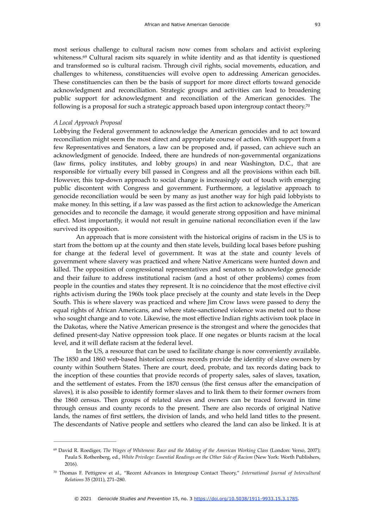<span id="page-12-2"></span>most serious challenge to cultural racism now comes from scholars and activist exploring whiteness. $69$  Cultural racism sits squarely in white identity and as that identity is questioned and transformed so is cultural racism. Through civil rights, social movements, education, and challenges to whiteness, constituencies will evolve open to addressing American genocides. These constituencies can then be the basis of support for more direct efforts toward genocide acknowledgment and reconciliation. Strategic groups and activities can lead to broadening public support for acknowledgment and reconciliation of the American genocides. The following is a proposal for such a strategic approach based upon intergroup contact theory.[70](#page-12-1)

#### <span id="page-12-3"></span>*A Local Approach Proposal*

Lobbying the Federal government to acknowledge the American genocides and to act toward reconciliation might seem the most direct and appropriate course of action. With support from a few Representatives and Senators, a law can be proposed and, if passed, can achieve such an acknowledgment of genocide. Indeed, there are hundreds of non-governmental organizations (law firms, policy institutes, and lobby groups) in and near Washington, D.C., that are responsible for virtually every bill passed in Congress and all the provisions within each bill. However, this top-down approach to social change is increasingly out of touch with emerging public discontent with Congress and government. Furthermore, a legislative approach to genocide reconciliation would be seen by many as just another way for high paid lobbyists to make money. In this setting, if a law was passed as the first action to acknowledge the American genocides and to reconcile the damage, it would generate strong opposition and have minimal effect. Most importantly, it would not result in genuine national reconciliation even if the law survived its opposition.

An approach that is more consistent with the historical origins of racism in the US is to start from the bottom up at the county and then state levels, building local bases before pushing for change at the federal level of government. It was at the state and county levels of government where slavery was practiced and where Native Americans were hunted down and killed. The opposition of congressional representatives and senators to acknowledge genocide and their failure to address institutional racism (and a host of other problems) comes from people in the counties and states they represent. It is no coincidence that the most effective civil rights activism during the 1960s took place precisely at the county and state levels in the Deep South. This is where slavery was practiced and where Jim Crow laws were passed to deny the equal rights of African Americans, and where state-sanctioned violence was meted out to those who sought change and to vote. Likewise, the most effective Indian rights activism took place in the Dakotas, where the Native American presence is the strongest and where the genocides that defined present-day Native oppression took place. If one negates or blunts racism at the local level, and it will deflate racism at the federal level.

In the US, a resource that can be used to facilitate change is now conveniently available. The 1850 and 1860 web-based historical census records provide the identity of slave owners by county within Southern States. There are court, deed, probate, and tax records dating back to the inception of these counties that provide records of property sales, sales of slaves, taxation, and the settlement of estates. From the 1870 census (the first census after the emancipation of slaves), it is also possible to identify former slaves and to link them to their former owners from the 1860 census. Then groups of related slaves and owners can be traced forward in time through census and county records to the present. There are also records of original Native lands, the names of first settlers, the division of lands, and who held land titles to the present. The descendants of Native people and settlers who cleared the land can also be linked. It is at

<span id="page-12-0"></span><sup>&</sup>lt;sup>[69](#page-12-2)</sup> David R. Roediger, *The Wages of Whiteness: Race and the Making of the American Working Class* (London: Verso, 2007); Paula S. Rothenberg, ed., *White Privilege: Essential Readings on the Other Side of Racism* (New York: Worth Publishers, 2016).

<span id="page-12-1"></span>Thomas F. Pettigrew et al., "Recent Advances in Intergroup Contact Theory," *International Journal of Intercultural* [70](#page-12-3) *Relations* 35 (2011), 271–280.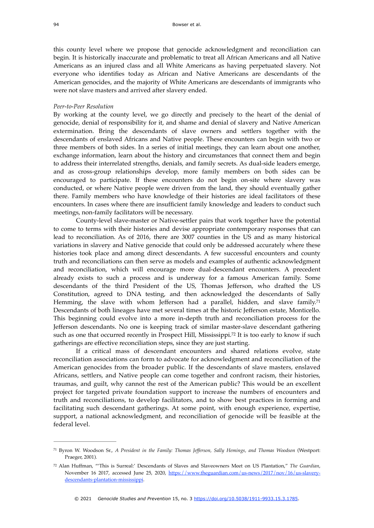this county level where we propose that genocide acknowledgment and reconciliation can begin. It is historically inaccurate and problematic to treat all African Americans and all Native Americans as an injured class and all White Americans as having perpetuated slavery. Not everyone who identifies today as African and Native Americans are descendants of the American genocides, and the majority of White Americans are descendants of immigrants who were not slave masters and arrived after slavery ended.

#### *Peer-to-Peer Resolution*

By working at the county level, we go directly and precisely to the heart of the denial of genocide, denial of responsibility for it, and shame and denial of slavery and Native American extermination. Bring the descendants of slave owners and settlers together with the descendants of enslaved Africans and Native people. These encounters can begin with two or three members of both sides. In a series of initial meetings, they can learn about one another, exchange information, learn about the history and circumstances that connect them and begin to address their interrelated strengths, denials, and family secrets. As dual-side leaders emerge, and as cross-group relationships develop, more family members on both sides can be encouraged to participate. If these encounters do not begin on-site where slavery was conducted, or where Native people were driven from the land, they should eventually gather there. Family members who have knowledge of their histories are ideal facilitators of these encounters. In cases where there are insufficient family knowledge and leaders to conduct such meetings, non-family facilitators will be necessary.

County-level slave-master or Native-settler pairs that work together have the potential to come to terms with their histories and devise appropriate contemporary responses that can lead to reconciliation. As of 2016, there are 3007 counties in the US and as many historical variations in slavery and Native genocide that could only be addressed accurately where these histories took place and among direct descendants. A few successful encounters and county truth and reconciliations can then serve as models and examples of authentic acknowledgment and reconciliation, which will encourage more dual-descendant encounters. A precedent already exists to such a process and is underway for a famous American family. Some descendants of the third President of the US, Thomas Jefferson, who drafted the US Constitution, agreed to DNA testing, and then acknowledged the descendants of Sally Hemming, the slave with whom Jefferson had a parallel, hidden, and slave family.<sup>[71](#page-13-0)</sup> Descendants of both lineages have met several times at the historic Jefferson estate, Monticello. This beginning could evolve into a more in-depth truth and reconciliation process for the Jefferson descendants. No one is keeping track of similar master-slave descendant gathering such as one that occurred recently in Prospect Hill, Mississippi.<sup>[72](#page-13-1)</sup> It is too early to know if such gatherings are effective reconciliation steps, since they are just starting.

<span id="page-13-3"></span><span id="page-13-2"></span>If a critical mass of descendant encounters and shared relations evolve, state reconciliation associations can form to advocate for acknowledgment and reconciliation of the American genocides from the broader public. If the descendants of slave masters, enslaved Africans, settlers, and Native people can come together and confront racism, their histories, traumas, and guilt, why cannot the rest of the American public? This would be an excellent project for targeted private foundation support to increase the numbers of encounters and truth and reconciliations, to develop facilitators, and to show best practices in forming and facilitating such descendant gatherings. At some point, with enough experience, expertise, support, a national acknowledgment, and reconciliation of genocide will be feasible at the federal level.

<span id="page-13-0"></span>Byron W. Woodson Sr., *A President in the Family: Thomas Jefferson, Sally Hemings, and Thomas Woodson* (Westport: [71](#page-13-2) Praeger, 2001).

<span id="page-13-1"></span>Alan Huffman, "'This is Surreal:' Descendants of Slaves and Slaveowners Meet on US Plantation," *The Guardian*, [72](#page-13-3) November 16 2017, accessed June 25, 2020, [https://www.theguardian.com/us-news/2017/nov/16/us-slavery](https://www.theguardian.com/us-news/2017/nov/16/us-slavery-descendants-plantation-mississippi)[descendants-plantation-mississippi](https://www.theguardian.com/us-news/2017/nov/16/us-slavery-descendants-plantation-mississippi).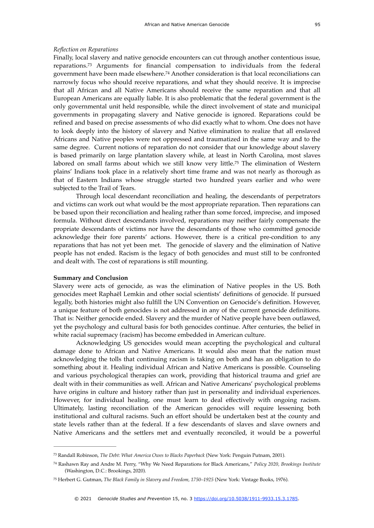#### *Reflection on Reparations*

<span id="page-14-4"></span><span id="page-14-3"></span>Finally, local slavery and native genocide encounters can cut through another contentious issue, reparations.<sup>[73](#page-14-0)</sup> Arguments for financial compensation to individuals from the federal government have been made elsewhere[.](#page-14-1)<sup>[74](#page-14-1)</sup> Another consideration is that local reconciliations can narrowly focus who should receive reparations, and what they should receive. It is imprecise that all African and all Native Americans should receive the same reparation and that all European Americans are equally liable. It is also problematic that the federal government is the only governmental unit held responsible, while the direct involvement of state and municipal governments in propagating slavery and Native genocide is ignored. Reparations could be refined and based on precise assessments of who did exactly what to whom. One does not have to look deeply into the history of slavery and Native elimination to realize that all enslaved Africans and Native peoples were not oppressed and traumatized in the same way and to the same degree. Current notions of reparation do not consider that our knowledge about slavery is based primarily on large plantation slavery while, at least in North Carolina, most slaves labored on small farms about which we still know very little.<sup>[75](#page-14-2)</sup> The elimination of Western plains' Indians took place in a relatively short time frame and was not nearly as thorough as that of Eastern Indians whose struggle started two hundred years earlier and who were subjected to the Trail of Tears.

<span id="page-14-5"></span>Through local descendant reconciliation and healing, the descendants of perpetrators and victims can work out what would be the most appropriate reparation. Then reparations can be based upon their reconciliation and healing rather than some forced, imprecise, and imposed formula. Without direct descendants involved, reparations may neither fairly compensate the propriate descendants of victims nor have the descendants of those who committed genocide acknowledge their fore parents' actions. However, there is a critical pre-condition to any reparations that has not yet been met. The genocide of slavery and the elimination of Native people has not ended. Racism is the legacy of both genocides and must still to be confronted and dealt with. The cost of reparations is still mounting.

#### **Summary and Conclusion**

Slavery were acts of genocide, as was the elimination of Native peoples in the US. Both genocides meet Raphaël Lemkin and other social scientists' definitions of genocide. If pursued legally, both histories might also fulfill the UN Convention on Genocide's definition. However, a unique feature of both genocides is not addressed in any of the current genocide definitions. That is: Neither genocide ended. Slavery and the murder of Native people have been outlawed, yet the psychology and cultural basis for both genocides continue. After centuries, the belief in white racial supremacy (racism) has become embedded in American culture.

Acknowledging US genocides would mean accepting the psychological and cultural damage done to African and Native Americans. It would also mean that the nation must acknowledging the tolls that continuing racism is taking on both and has an obligation to do something about it. Healing individual African and Native Americans is possible. Counseling and various psychological therapies can work, providing that historical trauma and grief are dealt with in their communities as well. African and Native Americans' psychological problems have origins in culture and history rather than just in personality and individual experiences. However, for individual healing, one must learn to deal effectively with ongoing racism. Ultimately, lasting reconciliation of the American genocides will require lessening both institutional and cultural racisms. Such an effort should be undertaken best at the county and state levels rather than at the federal. If a few descendants of slaves and slave owners and Native Americans and the settlers met and eventually reconciled, it would be a powerful

<span id="page-14-0"></span>Randall Robinson, *The Debt: What America Owes to Blacks Paperback* (New York: Penguin Putnam, 2001). [73](#page-14-3)

<span id="page-14-1"></span>Rashawn Ray and Andre M. Perry, "Why We Need Reparations for Black Americans," *Policy 2020, Brookings Institute* [74](#page-14-4) (Washington, D.C.: Brookings, 2020).

<span id="page-14-2"></span><sup>&</sup>lt;sup>[75](#page-14-5)</sup> Herbert G. Gutman, *The Black Family in Slavery and Freedom*, 1750–1925 (New York: Vintage Books, 1976).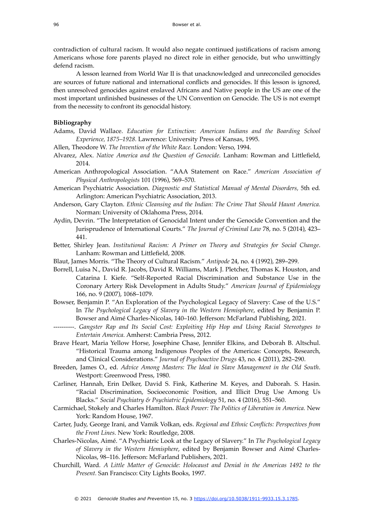contradiction of cultural racism. It would also negate continued justifications of racism among Americans whose fore parents played no direct role in either genocide, but who unwittingly defend racism.

A lesson learned from World War II is that unacknowledged and unreconciled genocides are sources of future national and international conflicts and genocides. If this lesson is ignored, then unresolved genocides against enslaved Africans and Native people in the US are one of the most important unfinished businesses of the UN Convention on Genocide. The US is not exempt from the necessity to confront its genocidal history.

#### **Bibliography**

- Adams, David Wallace. *Education for Extinction: American Indians and the Boarding School Experience, 1875–1928.* Lawrence: University Press of Kansas, 1995.
- Allen, Theodore W. *The Invention of the White Race.* London: Verso, 1994.
- Alvarez, Alex. *Native America and the Question of Genocide.* Lanham: Rowman and Littlefield, 2014.
- American Anthropological Association. "AAA Statement on Race." *American Association of Physical Anthropologists* 101 (1996), 569–570.
- American Psychiatric Association. *Diagnostic and Statistical Manual of Mental Disorders,* 5th ed*.* Arlington: American Psychiatric Association, 2013.
- Anderson, Gary Clayton. *Ethnic Cleansing and the Indian: The Crime That Should Haunt America.* Norman: University of Oklahoma Press, 2014.
- Aydin, Devrin. "The Interpretation of Genocidal Intent under the Genocide Convention and the Jurisprudence of International Courts." *The Journal of Criminal Law* 78, no. 5 (2014), 423– 441.
- Better, Shirley Jean. *Institutional Racism: A Primer on Theory and Strategies for Social Change*. Lanham: Rowman and Littlefield, 2008.
- Blaut, James Morris. "The Theory of Cultural Racism." *Antipode* 24, no. 4 (1992), 289–299.
- Borrell, Luisa N., David R. Jacobs, David R. Williams, Mark J. Pletcher, Thomas K. Houston, and Catarina I. Kiefe. "Self-Reported Racial Discrimination and Substance Use in the Coronary Artery Risk Development in Adults Study." *American Journal of Epidemiology*  166, no. 9 (2007), 1068–1079.
- Bowser, Benjamin P. "An Exploration of the Psychological Legacy of Slavery: Case of the U.S." In *The Psychological Legacy of Slavery in the Western Hemisphere*, edited by Benjamin P. Bowser and Aimé Charles-Nicolas, 140–160. Jefferson: McFarland Publishing, 2021.
- ----------. *Gangster Rap and Its Social Cost: Exploiting Hip Hop and Using Racial Stereotypes to Entertain America.* Amherst: Cambria Press, 2012.
- Brave Heart, Maria Yellow Horse, Josephine Chase, Jennifer Elkins, and Deborah B. Altschul. "Historical Trauma among Indigenous Peoples of the Americas: Concepts, Research, and Clinical Considerations." *Journal of Psychoactive Drugs* 43, no. 4 (2011), 282–290.
- Breeden, James O., ed. *Advice Among Masters: The Ideal in Slave Management in the Old South*. Westport: Greenwood Press, 1980.
- Carliner, Hannah, Erin Delker, David S. Fink, Katherine M. Keyes, and Daborah. S. Hasin. "Racial Discrimination, Socioeconomic Position, and Illicit Drug Use Among Us Blacks." *Social Psychiatry & Psychiatric Epidemiology* 51, no. 4 (2016), 551–560.
- Carmichael, Stokely and Charles Hamilton. *Black Power: The Politics of Liberation in America.* New York: Random House, 1967.
- Carter, Judy, George Irani, and Vamik Volkan, eds. *Regional and Ethnic Conflicts: Perspectives from the Front Lines.* New York: Routledge, 2008.
- Charles-Nicolas, Aimé. "A Psychiatric Look at the Legacy of Slavery." In *The Psychological Legacy of Slavery in the Western Hemisphere*, edited by Benjamin Bowser and Aimé Charles-Nicolas, 98–116. Jefferson: McFarland Publishers, 2021.
- Churchill, Ward. *A Little Matter of Genocide: Holocaust and Denial in the Americas 1492 to the Present.* San Francisco: City Lights Books, 1997.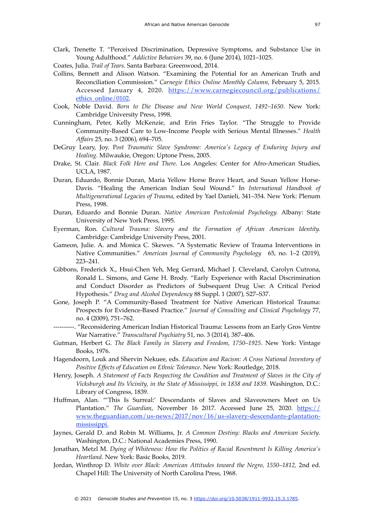- Clark, Trenette T. "Perceived Discrimination, Depressive Symptoms, and Substance Use in Young Adulthood." *Addictive Behaviors* 39, no. 6 (June 2014), 1021–1025.
- Coates, Julia. *Trail of Tears.* Santa Barbara: Greenwood, 2014.
- Collins, Bennett and Alison Watson. "Examining the Potential for an American Truth and Reconciliation Commission." *Carnegie Ethics Online Monthly Column,* February 5, 2015. Accessed January 4, 2020. [https://www.carnegiecouncil.org/publications/](https://www.carnegiecouncil.org/publications/ethics_online/0102) [ethics\\_online/0102](https://www.carnegiecouncil.org/publications/ethics_online/0102).
- Cook, Noble David. *Born to Die Disease and New World Conquest, 1492–1650.* New York: Cambridge University Press, 1998.
- Cunningham, Peter, Kelly McKenzie, and Erin Fries Taylor. "The Struggle to Provide Community-Based Care to Low-Income People with Serious Mental Illnesses." *Health Affairs* 25, no. 3 (2006), 694–705.
- DeGruy Leary, Joy. P*ost Traumatic Slave Syndrome: America's Legacy of Enduring Injury and Healing.* Milwaukie, Oregon: Uptone Press, 2005.
- Drake, St. Clair. *Black Folk Here and There.* Los Angeles: Center for Afro-American Studies, UCLA, 1987.
- Duran, Eduardo, Bonnie Duran, Maria Yellow Horse Brave Heart, and Susan Yellow Horse-Davis. "Healing the American Indian Soul Wound." In *International Handbook of Multigenerational Legacies of Trauma*, edited by Yael Danieli, 341–354. New York: Plenum Press, 1998.
- Duran, Eduardo and Bonnie Duran. *Native American Postcolonial Psychology.* Albany: State University of New York Press, 1995.
- Eyerman, Ron. *Cultural Trauma: Slavery and the Formation of African American Identity.* Cambridge: Cambridge University Press, 2001.
- Gameon, Julie. A. and Monica C. Skewes. "A Systematic Review of Trauma Interventions in Native Communities." *American Journal of Community Psychology* 65, no. 1–2 (2019), 223–241.
- Gibbons, Frederick X., Hsui-Chen Yeh, Meg Gerrard, Michael J. Cleveland, Carolyn Cutrona, Ronald L. Simons, and Gene H. Brody. "Early Experience with Racial Discrimination and Conduct Disorder as Predictors of Subsequent Drug Use: A Critical Period Hypothesis." *Drug and Alcohol Dependency* 88 Suppl. 1 (2007), S27–S37.
- Gone, Joseph P. "A Community-Based Treatment for Native American Historical Trauma: Prospects for Evidence-Based Practice." *Journal of Consulting and Clinical Psychology* 77, no. 4 (2009), 751–762.
- ----------. "Reconsidering American Indian Historical Trauma: Lessons from an Early Gros Ventre War Narrative." *Transcultural Psychiatry* 51, no. 3 (2014), 387–406.
- Gutman, Herbert G. *The Black Family in Slavery and Freedom, 1750–1925*. New York: Vintage Books, 1976.
- Hagendoorn, Louk and Shervin Nekuee, eds. *Education and Racism: A Cross National Inventory of Positive Effects of Education on Ethnic Tolerance*. New York: Routledge, 2018.
- Henry, Joseph. *A Statement of Facts Respecting the Condition and Treatment of Slaves in the City of Vicksburgh and Its Vicinity, in the State of Mississippi, in 1838 and 1839*. Washington, D.C.: Library of Congress, 1839.
- Huffman, Alan. "'This Is Surreal:' Descendants of Slaves and Slaveowners Meet on Us Plantation." *The Guardian*, November 16 2017. Accessed June 25, 2020. [https://](https://www.theguardian.com/us-news/2017/nov/16/us-slavery-descendants-plantation-mississippi) [www.theguardian.com/us-news/2017/nov/16/us-slavery-descendants-plantation](https://www.theguardian.com/us-news/2017/nov/16/us-slavery-descendants-plantation-mississippi)[mississippi](https://www.theguardian.com/us-news/2017/nov/16/us-slavery-descendants-plantation-mississippi).
- Jaynes, Gerald D. and Robin M. Williams, Jr. *A Common Destiny: Blacks and American Society*. Washington, D.C.: National Academies Press, 1990.
- Jonathan, Metzl M. *Dying of Whiteness: How the Politics of Racial Resentment Is Killing America's Heartland.* New York: Basic Books, 2019.
- Jordan, Winthrop D. *White over Black: American Attitudes toward the Negro, 1550–1812,* 2nd ed. Chapel Hill: The University of North Carolina Press, 1968.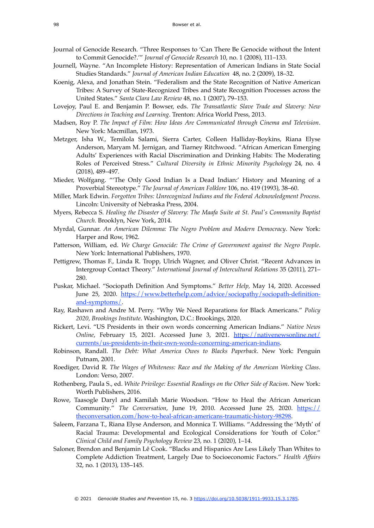- Journal of Genocide Research. "Three Responses to 'Can There Be Genocide without the Intent to Commit Genocide?.'" *Journal of Genocide Research* 10, no. 1 (2008), 111–133.
- Journell, Wayne. "An Incomplete History: Representation of American Indians in State Social Studies Standards." *Journal of American Indian Education* 48, no. 2 (2009), 18–32.
- Koenig, Alexa, and Jonathan Stein. "Federalism and the State Recognition of Native American Tribes: A Survey of State-Recognized Tribes and State Recognition Processes across the United States." *Santa Clara Law Review* 48, no. 1 (2007), 79–153.
- Lovejoy, Paul E. and Benjamin P. Bowser, eds. *The Transatlantic Slave Trade and Slavery: New Directions in Teaching and Learning*. Trenton: Africa World Press, 2013.
- Madsen, Roy P. *The Impact of Film: How Ideas Are Communicated through Cinema and Television*. New York: Macmillan, 1973.
- Metzger, Isha W., Temilola Salami, Sierra Carter, Colleen Halliday-Boykins, Riana Elyse Anderson, Maryam M. Jernigan, and Tiarney Ritchwood. "African American Emerging Adults' Experiences with Racial Discrimination and Drinking Habits: The Moderating Roles of Perceived Stress." *Cultural Diversity in Ethnic Minority Psychology* 24, no. 4 (2018), 489–497.
- Mieder, Wolfgang. "'The Only Good Indian Is a Dead Indian:' History and Meaning of a Proverbial Stereotype." *The Journal of American Folklore* 106, no. 419 (1993), 38–60.
- Miller, Mark Edwin. *Forgotten Tribes: Unrecognized Indians and the Federal Acknowledgment Process.* Lincoln: University of Nebraska Press, 2004.
- Myers, Rebecca S. *Healing the Disaster of Slavery: The Maafa Suite at St. Paul's Community Baptist Church.* Brooklyn, New York, 2014.
- Myrdal, Gunnar. *An American Dilemma: The Negro Problem and Modern Democracy*. New York: Harper and Row, 1962.
- Patterson, William, ed. *We Charge Genocide: The Crime of Government against the Negro People*. New York: International Publishers, 1970.
- Pettigrew, Thomas F., Linda R. Tropp, Ulrich Wagner, and Oliver Christ. "Recent Advances in Intergroup Contact Theory." *International Journal of Intercultural Relations* 35 (2011), 271– 280.
- Puskar, Michael. "Sociopath Definition And Symptoms." *Better Help,* May 14, 2020. Accessed [June 25, 2020. https://www.betterhelp.com/advice/sociopathy/sociopath-definition](https://www.betterhelp.com/advice/sociopathy/sociopath-definition-and-symptoms/)[and-symptoms/.](https://www.betterhelp.com/advice/sociopathy/sociopath-definition-and-symptoms/)
- Ray, Rashawn and Andre M. Perry. "Why We Need Reparations for Black Americans." *Policy 2020, Brookings Institute*. Washington, D.C.: Brookings, 2020.
- Rickert, Levi. "US Presidents in their own words concerning American Indians." *Native News Online*[, February 15, 2021. Accessed June 3, 2021. https://nativenewsonline.net/](https://nativenewsonline.net/currents/us-presidents-in-their-own-words-concerning-american-indians) [currents/us-presidents-in-their-own-words-concerning-american-indians.](https://nativenewsonline.net/currents/us-presidents-in-their-own-words-concerning-american-indians)
- Robinson, Randall. *The Debt: What America Owes to Blacks Paperback*. New York: Penguin Putnam, 2001.
- Roediger, David R. *The Wages of Whiteness: Race and the Making of the American Working Class*. London: Verso, 2007.
- Rothenberg, Paula S., ed. *White Privilege: Essential Readings on the Other Side of Racism*. New York: Worth Publishers, 2016.
- Rowe, Taasogle Daryl and Kamilah Marie Woodson. "How to Heal the African American Community*.*" *The Conversation*, June 19, 2010. Accessed June 25, 2020. [https://](https://theconversation.com/how-to-heal-african-americans-traumatic-history-98298) [theconversation.com/how-to-heal-african-americans-traumatic-history-98298](https://theconversation.com/how-to-heal-african-americans-traumatic-history-98298).
- Saleem, Farzana T., Riana Elyse Anderson, and Monnica T. Williams. "Addressing the 'Myth' of Racial Trauma: Developmental and Ecological Considerations for Youth of Color." *Clinical Child and Family Psychology Review* 23, no. 1 (2020), 1–14.
- Saloner, Brendon and Benjamin Lê Cook. "Blacks and Hispanics Are Less Likely Than Whites to Complete Addiction Treatment, Largely Due to Socioeconomic Factors." *Health Affairs*  32, no. 1 (2013), 135–145.